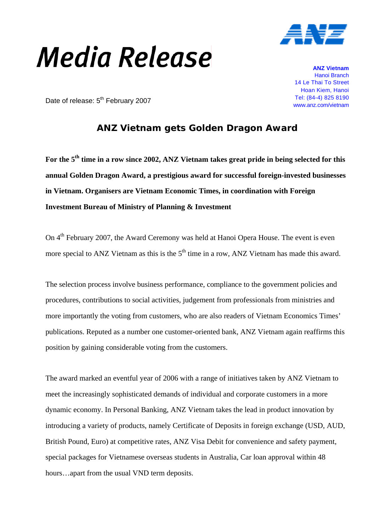## **Media Release**



**ANZ Vietnam** Hanoi Branch 14 Le Thai To Street Hoan Kiem, Hanoi Tel: (84-4) 825 8190

Date of release: 5<sup>th</sup> February 2007<br>Maxww.anz.com/vietnam and www.anz.com/vietnam

## **ANZ Vietnam gets Golden Dragon Award**

For the 5<sup>th</sup> time in a row since 2002, ANZ Vietnam takes great pride in being selected for this **annual Golden Dragon Award, a prestigious award for successful foreign-invested businesses in Vietnam. Organisers are Vietnam Economic Times, in coordination with Foreign Investment Bureau of Ministry of Planning & Investment** 

On 4<sup>th</sup> February 2007, the Award Ceremony was held at Hanoi Opera House. The event is even more special to ANZ Vietnam as this is the  $5<sup>th</sup>$  time in a row. ANZ Vietnam has made this award.

The selection process involve business performance, compliance to the government policies and procedures, contributions to social activities, judgement from professionals from ministries and more importantly the voting from customers, who are also readers of Vietnam Economics Times' publications. Reputed as a number one customer-oriented bank, ANZ Vietnam again reaffirms this position by gaining considerable voting from the customers.

The award marked an eventful year of 2006 with a range of initiatives taken by ANZ Vietnam to meet the increasingly sophisticated demands of individual and corporate customers in a more dynamic economy. In Personal Banking, ANZ Vietnam takes the lead in product innovation by introducing a variety of products, namely Certificate of Deposits in foreign exchange (USD, AUD, British Pound, Euro) at competitive rates, ANZ Visa Debit for convenience and safety payment, special packages for Vietnamese overseas students in Australia, Car loan approval within 48 hours…apart from the usual VND term deposits.